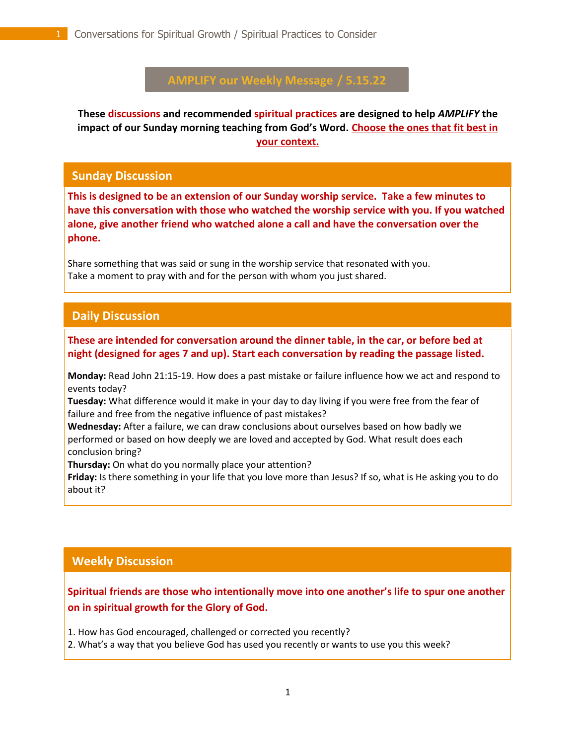# **AMPLIFY our Weekly Message / 5.15.22**

**These discussions and recommended spiritual practices are designed to help** *AMPLIFY* **the impact of our Sunday morning teaching from God's Word. Choose the ones that fit best in your context.**

#### **Sunday Discussion**

**This is designed to be an extension of our Sunday worship service. Take a few minutes to have this conversation with those who watched the worship service with you. If you watched alone, give another friend who watched alone a call and have the conversation over the phone.**

Share something that was said or sung in the worship service that resonated with you. Take a moment to pray with and for the person with whom you just shared.

### **Daily Discussion**

. **These are intended for conversation around the dinner table, in the car, or before bed at night (designed for ages 7 and up). Start each conversation by reading the passage listed.**

**Monday:** Read John 21:15-19. How does a past mistake or failure influence how we act and respond to events today?

**Tuesday:** What difference would it make in your day to day living if you were free from the fear of failure and free from the negative influence of past mistakes?

**Wednesday:** After a failure, we can draw conclusions about ourselves based on how badly we performed or based on how deeply we are loved and accepted by God. What result does each conclusion bring?

**Thursday:** On what do you normally place your attention?

**Friday:** Is there something in your life that you love more than Jesus? If so, what is He asking you to do about it?

# **Weekly Discussion**

## **Spiritual friends are those who intentionally move into one another's life to spur one another on in spiritual growth for the Glory of God.**

1. How has God encouraged, challenged or corrected you recently?

2. What's a way that you believe God has used you recently or wants to use you this week?